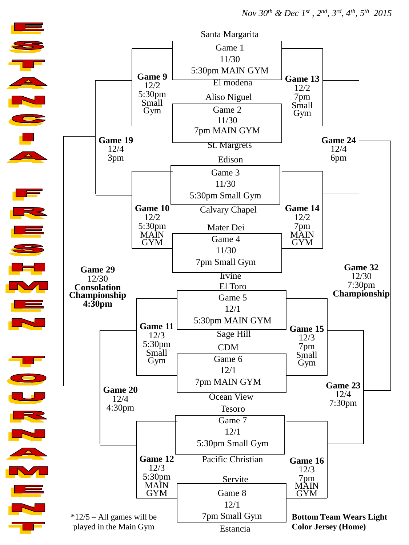